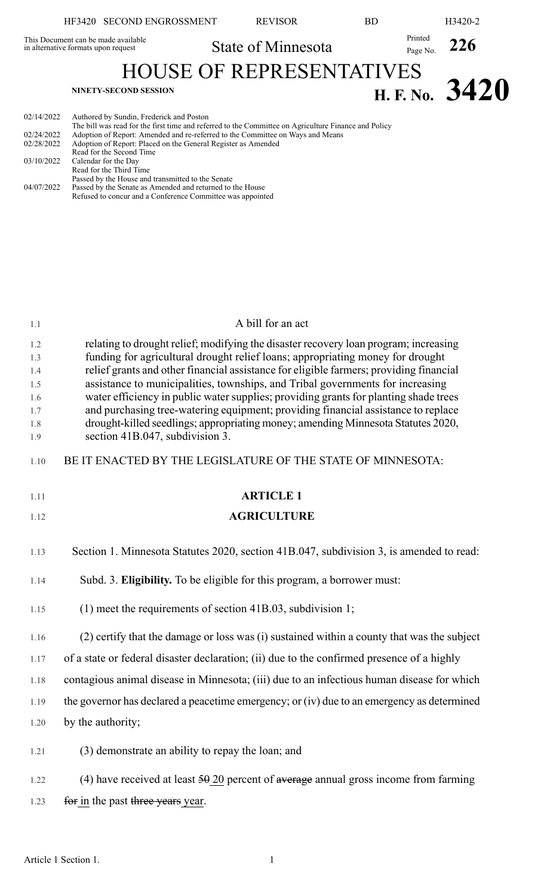|                                                      | HF3420 SECOND ENGROSSMENT                                                                                                                                                                                                                                                                                                                               | <b>REVISOR</b>     | <b>BD</b> |                     | H3420-2        |
|------------------------------------------------------|---------------------------------------------------------------------------------------------------------------------------------------------------------------------------------------------------------------------------------------------------------------------------------------------------------------------------------------------------------|--------------------|-----------|---------------------|----------------|
| in alternative formats upon request                  | This Document can be made available                                                                                                                                                                                                                                                                                                                     | State of Minnesota |           | Printed<br>Page No. | 226            |
|                                                      | <b>HOUSE OF REPRESENTATIVES</b>                                                                                                                                                                                                                                                                                                                         |                    |           |                     |                |
|                                                      | NINETY-SECOND SESSION                                                                                                                                                                                                                                                                                                                                   |                    |           |                     | H. F. No. 3420 |
| 02/14/2022<br>02/24/2022<br>02/28/2022<br>03/10/2022 | Authored by Sundin, Frederick and Poston<br>The bill was read for the first time and referred to the Committee on Agriculture Finance and Policy<br>Adoption of Report: Amended and re-referred to the Committee on Ways and Means<br>Adoption of Report: Placed on the General Register as Amended<br>Read for the Second Time<br>Calendar for the Day |                    |           |                     |                |
| 04/07/2022                                           | Read for the Third Time<br>Passed by the House and transmitted to the Senate<br>Passed by the Senate as Amended and returned to the House<br>Refused to concur and a Conference Committee was appointed                                                                                                                                                 |                    |           |                     |                |

| 1.1                                                  | A bill for an act                                                                                                                                                                                                                                                                                                                                                                                                                                                                                                                                                                                                                                      |
|------------------------------------------------------|--------------------------------------------------------------------------------------------------------------------------------------------------------------------------------------------------------------------------------------------------------------------------------------------------------------------------------------------------------------------------------------------------------------------------------------------------------------------------------------------------------------------------------------------------------------------------------------------------------------------------------------------------------|
| 1.2<br>1.3<br>1.4<br>1.5<br>1.6<br>1.7<br>1.8<br>1.9 | relating to drought relief; modifying the disaster recovery loan program; increasing<br>funding for agricultural drought relief loans; appropriating money for drought<br>relief grants and other financial assistance for eligible farmers; providing financial<br>assistance to municipalities, townships, and Tribal governments for increasing<br>water efficiency in public water supplies; providing grants for planting shade trees<br>and purchasing tree-watering equipment; providing financial assistance to replace<br>drought-killed seedlings; appropriating money; amending Minnesota Statutes 2020,<br>section 41B.047, subdivision 3. |
| 1.10                                                 | BE IT ENACTED BY THE LEGISLATURE OF THE STATE OF MINNESOTA:                                                                                                                                                                                                                                                                                                                                                                                                                                                                                                                                                                                            |
| 1.11                                                 | <b>ARTICLE 1</b>                                                                                                                                                                                                                                                                                                                                                                                                                                                                                                                                                                                                                                       |
| 1.12                                                 | <b>AGRICULTURE</b>                                                                                                                                                                                                                                                                                                                                                                                                                                                                                                                                                                                                                                     |
| 1.13                                                 | Section 1. Minnesota Statutes 2020, section 41B.047, subdivision 3, is amended to read:                                                                                                                                                                                                                                                                                                                                                                                                                                                                                                                                                                |
| 1.14                                                 | Subd. 3. Eligibility. To be eligible for this program, a borrower must:                                                                                                                                                                                                                                                                                                                                                                                                                                                                                                                                                                                |
| 1.15                                                 | $(1)$ meet the requirements of section 41B.03, subdivision 1;                                                                                                                                                                                                                                                                                                                                                                                                                                                                                                                                                                                          |
| 1.16                                                 | (2) certify that the damage or loss was (i) sustained within a county that was the subject                                                                                                                                                                                                                                                                                                                                                                                                                                                                                                                                                             |
| 1.17                                                 | of a state or federal disaster declaration; (ii) due to the confirmed presence of a highly                                                                                                                                                                                                                                                                                                                                                                                                                                                                                                                                                             |
| 1.18                                                 | contagious animal disease in Minnesota; (iii) due to an infectious human disease for which                                                                                                                                                                                                                                                                                                                                                                                                                                                                                                                                                             |
| 1.19                                                 | the governor has declared a peacetime emergency; or (iv) due to an emergency as determined                                                                                                                                                                                                                                                                                                                                                                                                                                                                                                                                                             |
| 1.20                                                 | by the authority;                                                                                                                                                                                                                                                                                                                                                                                                                                                                                                                                                                                                                                      |
| 1.21                                                 | (3) demonstrate an ability to repay the loan; and                                                                                                                                                                                                                                                                                                                                                                                                                                                                                                                                                                                                      |
| 1.22                                                 | (4) have received at least $50\,20$ percent of average annual gross income from farming                                                                                                                                                                                                                                                                                                                                                                                                                                                                                                                                                                |
| 1.23                                                 | for in the past three years year.                                                                                                                                                                                                                                                                                                                                                                                                                                                                                                                                                                                                                      |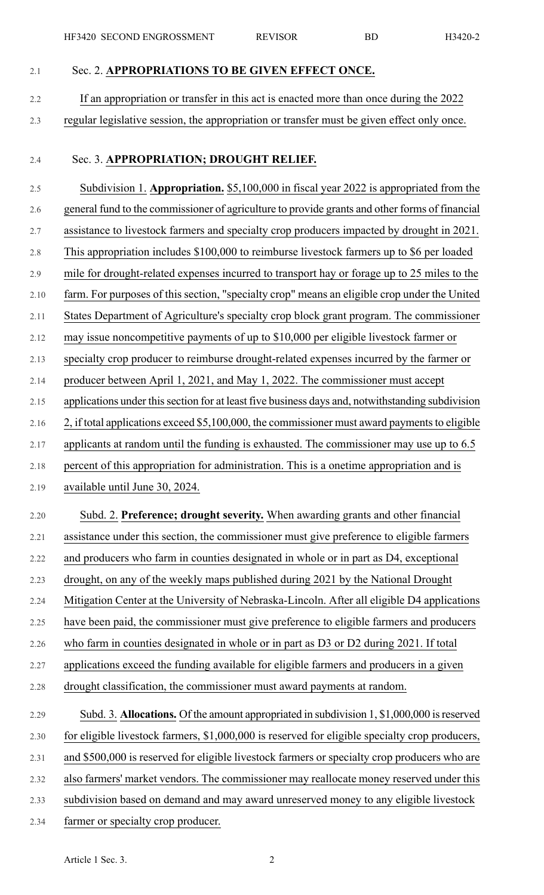- 2.1 Sec. 2. **APPROPRIATIONS TO BE GIVEN EFFECT ONCE.**
- 2.2 If an appropriation or transfer in this act is enacted more than once during the 2022 2.3 regular legislative session, the appropriation or transfer must be given effect only once.
- 

## 2.4 Sec. 3. **APPROPRIATION; DROUGHT RELIEF.**

2.5 Subdivision 1. **Appropriation.** \$5,100,000 in fiscal year 2022 is appropriated from the 2.6 general fund to the commissioner of agriculture to provide grants and other forms of financial 2.7 assistance to livestock farmers and specialty crop producers impacted by drought in 2021. 2.8 This appropriation includes \$100,000 to reimburse livestock farmers up to \$6 per loaded 2.9 mile for drought-related expenses incurred to transport hay or forage up to 25 miles to the 2.10 farm. For purposes of this section, "specialty crop" means an eligible crop under the United 2.11 States Department of Agriculture's specialty crop block grant program. The commissioner 2.12 may issue noncompetitive payments of up to \$10,000 per eligible livestock farmer or 2.13 specialty crop producer to reimburse drought-related expenses incurred by the farmer or 2.14 producer between April 1, 2021, and May 1, 2022. The commissioner must accept 2.15 applications under this section for at least five business days and, notwithstanding subdivision 2.16 2, if total applications exceed \$5,100,000, the commissioner must award payments to eligible 2.17 applicants at random until the funding is exhausted. The commissioner may use up to 6.5 2.18 percent of this appropriation for administration. This is a onetime appropriation and is 2.19 available until June 30, 2024. 2.20 Subd. 2. **Preference; drought severity.** When awarding grants and other financial 2.21 assistance under this section, the commissioner must give preference to eligible farmers 2.22 and producers who farm in counties designated in whole or in part as D4, exceptional 2.23 drought, on any of the weekly maps published during 2021 by the National Drought 2.24 Mitigation Center at the University of Nebraska-Lincoln. After all eligible D4 applications 2.25 have been paid, the commissioner must give preference to eligible farmers and producers 2.26 who farm in counties designated in whole or in part as D3 or D2 during 2021. If total 2.27 applications exceed the funding available for eligible farmers and producers in a given 2.28 drought classification, the commissioner must award payments at random.

## 2.29 Subd. 3. **Allocations.** Of the amount appropriated in subdivision 1, \$1,000,000 isreserved 2.30 for eligible livestock farmers, \$1,000,000 is reserved for eligible specialty crop producers, 2.31 and \$500,000 is reserved for eligible livestock farmers or specialty crop producers who are 2.32 also farmers' market vendors. The commissioner may reallocate money reserved under this 2.33 subdivision based on demand and may award unreserved money to any eligible livestock 2.34 farmer or specialty crop producer.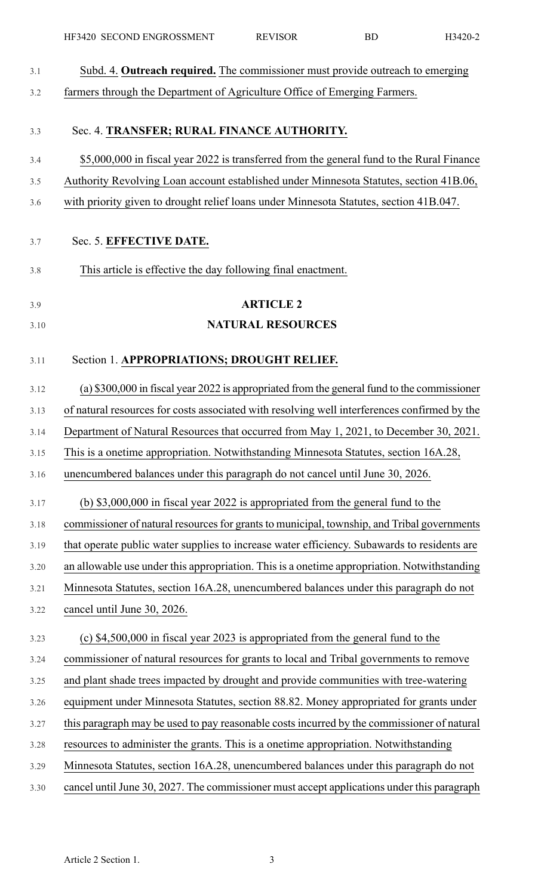| 3.1  | Subd. 4. Outreach required. The commissioner must provide outreach to emerging               |
|------|----------------------------------------------------------------------------------------------|
| 3.2  | farmers through the Department of Agriculture Office of Emerging Farmers.                    |
| 3.3  | Sec. 4. TRANSFER; RURAL FINANCE AUTHORITY.                                                   |
| 3.4  | \$5,000,000 in fiscal year 2022 is transferred from the general fund to the Rural Finance    |
| 3.5  | Authority Revolving Loan account established under Minnesota Statutes, section 41B.06,       |
| 3.6  | with priority given to drought relief loans under Minnesota Statutes, section 41B.047.       |
| 3.7  | Sec. 5. EFFECTIVE DATE.                                                                      |
| 3.8  | This article is effective the day following final enactment.                                 |
| 3.9  | <b>ARTICLE 2</b>                                                                             |
| 3.10 | <b>NATURAL RESOURCES</b>                                                                     |
| 3.11 | Section 1. APPROPRIATIONS; DROUGHT RELIEF.                                                   |
| 3.12 | (a) \$300,000 in fiscal year 2022 is appropriated from the general fund to the commissioner  |
| 3.13 | of natural resources for costs associated with resolving well interferences confirmed by the |
| 3.14 | Department of Natural Resources that occurred from May 1, 2021, to December 30, 2021.        |
| 3.15 | This is a onetime appropriation. Notwithstanding Minnesota Statutes, section 16A.28,         |
| 3.16 | unencumbered balances under this paragraph do not cancel until June 30, 2026.                |
| 3.17 | (b) $$3,000,000$ in fiscal year 2022 is appropriated from the general fund to the            |
| 3.18 | commissioner of natural resources for grants to municipal, township, and Tribal governments  |
| 3.19 | that operate public water supplies to increase water efficiency. Subawards to residents are  |
| 3.20 | an allowable use under this appropriation. This is a onetime appropriation. Notwithstanding  |
| 3.21 | Minnesota Statutes, section 16A.28, unencumbered balances under this paragraph do not        |
| 3.22 | cancel until June 30, 2026.                                                                  |
| 3.23 | (c) \$4,500,000 in fiscal year 2023 is appropriated from the general fund to the             |
| 3.24 | commissioner of natural resources for grants to local and Tribal governments to remove       |
| 3.25 | and plant shade trees impacted by drought and provide communities with tree-watering         |
| 3.26 | equipment under Minnesota Statutes, section 88.82. Money appropriated for grants under       |
| 3.27 | this paragraph may be used to pay reasonable costs incurred by the commissioner of natural   |
| 3.28 | resources to administer the grants. This is a onetime appropriation. Notwithstanding         |
| 3.29 | Minnesota Statutes, section 16A.28, unencumbered balances under this paragraph do not        |
| 3.30 | cancel until June 30, 2027. The commissioner must accept applications under this paragraph   |